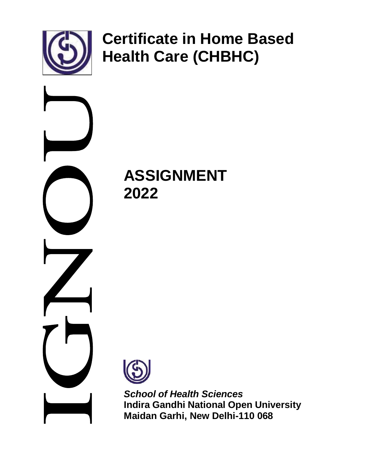

# **Certificate in Home Based Health Care (CHBHC)**



## **ASSIGNMENT 2022**



*School of Health Sciences* **Indira Gandhi National Open University Maidan Garhi, New Delhi-110 068**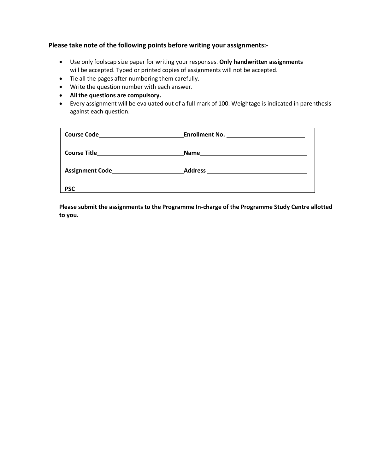#### **Please take note of the following points before writing your assignments:‐**

- Use only foolscap size paper for writing your responses. **Only handwritten assignments** will be accepted. Typed or printed copies of assignments will not be accepted.
- Tie all the pages after numbering them carefully.
- Write the question number with each answer.
- **All the questions are compulsory.**
- Every assignment will be evaluated out of a full mark of 100. Weightage is indicated in parenthesis against each question.

| <b>Course Code</b>     | <b>Enrollment No.</b> |
|------------------------|-----------------------|
| <b>Course Title</b>    | <b>Name</b>           |
| <b>Assignment Code</b> | <b>Address</b>        |
| <b>PSC</b>             |                       |

**Please submit the assignments to the Programme In‐charge of the Programme Study Centre allotted to you.**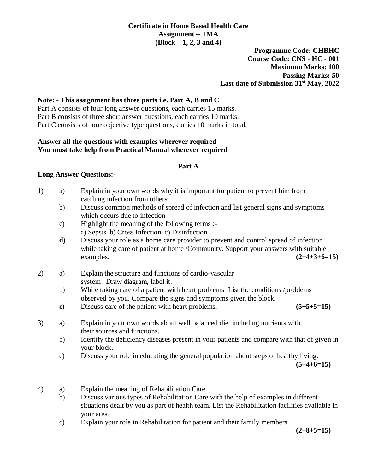## **Certificate in Home Based Health Care Assignment – TMA (Block – 1, 2, 3 and 4)**

**Programme Code: CHBHC Course Code: CNS - HC - 001 Maximum Marks: 100 Passing Marks: 50 Last date of Submission 31st May, 2022**

## **Note: - This assignment has three parts i.e. Part A, B and C**

Part A consists of four long answer questions, each carries 15 marks. Part B consists of three short answer questions, each carries 10 marks. Part C consists of four objective type questions, carries 10 marks in total.

## **Answer all the questions with examples wherever required You must take help from Practical Manual wherever required**

#### **Part A**

#### **Long Answer Questions:-**

- 1) a) Explain in your own words why it is important for patient to prevent him from catching infection from others
	- b) Discuss common methods of spread of infection and list general signs and symptoms which occurs due to infection
	- c) Highlight the meaning of the following terms : a) Sepsis b) Cross Infection c) Disinfection
	- **d)** Discuss your role as a home care provider to prevent and control spread of infection while taking care of patient at home /Community. Support your answers with suitable examples. **(2+4+3+6=15)**
- 2) a) Explain the structure and functions of cardio-vascular system . Draw diagram, label it.
	- b) While taking care of a patient with heart problems .List the conditions /problems observed by you. Compare the signs and symptoms given the block.
	- **c)** Discuss care of the patient with heart problems. **(5+5+5=15)**
- 3) a) Explain in your own words about well balanced diet including nutrients with their sources and functions.
	- b) Identify the deficiency diseases present in your patients and compare with that of given in your block.
	- c) Discuss your role in educating the general population about steps of healthy living.

**(5+4+6=15)**

- 4) a) Explain the meaning of Rehabilitation Care.
	- b) Discuss various types of Rehabilitation Care with the help of examples in different situations dealt by you as part of health team. List the Rehabilitation facilities available in your area.
	- c) Explain your role in Rehabilitation for patient and their family members

**(2+8+5=15)**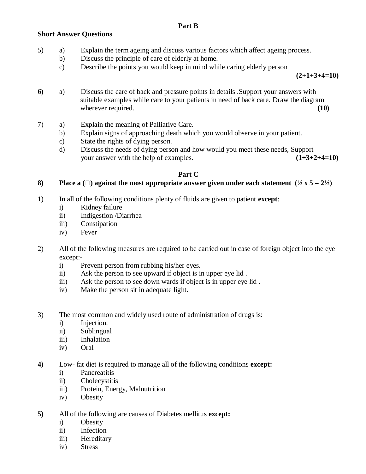#### **Short Answer Questions**

- 5) a) Explain the term ageing and discuss various factors which affect ageing process.
	- b) Discuss the principle of care of elderly at home.
	- c) Describe the points you would keep in mind while caring elderly person

**(2+1+3+4=10)**

- **6)** a) Discuss the care of back and pressure points in details .Support your answers with suitable examples while care to your patients in need of back care. Draw the diagram wherever required. **(10) (10)**
- 7) a) Explain the meaning of Palliative Care.
	- b) Explain signs of approaching death which you would observe in your patient.
	- c) State the rights of dying person.
	- d) Discuss the needs of dying person and how would you meet these needs, Support your answer with the help of examples. **(1+3+2+4=10)**

#### **Part C**

#### **8**) **Place a**  $(\Box)$  **against** the most appropriate answer given under each statement  $(\frac{1}{2} \times 5 = 2\frac{1}{2})$

- 1) In all of the following conditions plenty of fluids are given to patient **except**:
	- i) Kidney failure
	- ii) Indigestion /Diarrhea
	- iii) Constipation
	- iv) Fever
- 2) All of the following measures are required to be carried out in case of foreign object into the eye except:
	- i) Prevent person from rubbing his/her eyes.
	- ii) Ask the person to see upward if object is in upper eye lid .
	- iii) Ask the person to see down wards if object is in upper eye lid .
	- iv) Make the person sit in adequate light.
- 3) The most common and widely used route of administration of drugs is:
	- i) Injection.
	- ii) Sublingual
	- iii) Inhalation
	- iv) Oral
- **4)** Low- fat diet is required to manage all of the following conditions **except:**
	- i) Pancreatitis
	- ii) Cholecystitis
	- iii) Protein, Energy, Malnutrition
	- iv) Obesity
- **5)** All of the following are causes of Diabetes mellitus **except:**
	- i) Obesity
	- ii) Infection
	- iii) Hereditary
	- iv) Stress

#### **Part B**